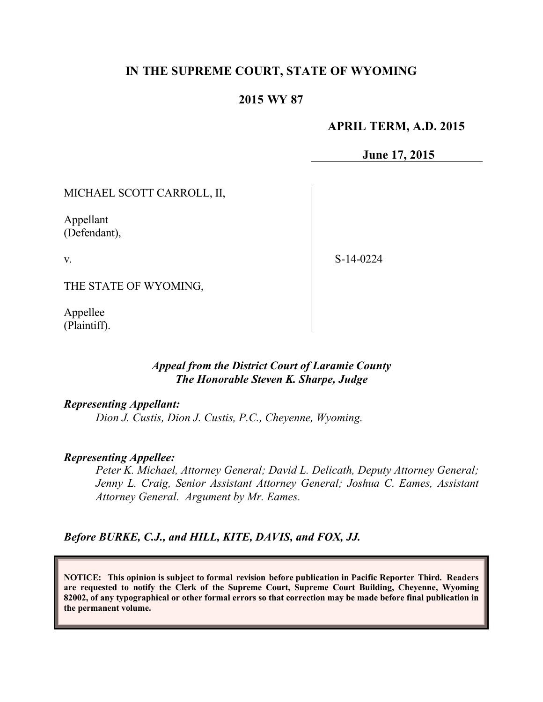## **IN THE SUPREME COURT, STATE OF WYOMING**

### **2015 WY 87**

#### **APRIL TERM, A.D. 2015**

**June 17, 2015**

MICHAEL SCOTT CARROLL, II,

Appellant (Defendant),

v.

S-14-0224

THE STATE OF WYOMING,

Appellee (Plaintiff).

### *Appeal from the District Court of Laramie County The Honorable Steven K. Sharpe, Judge*

*Representing Appellant:*

*Dion J. Custis, Dion J. Custis, P.C., Cheyenne, Wyoming.*

#### *Representing Appellee:*

*Peter K. Michael, Attorney General; David L. Delicath, Deputy Attorney General; Jenny L. Craig, Senior Assistant Attorney General; Joshua C. Eames, Assistant Attorney General. Argument by Mr. Eames.*

*Before BURKE, C.J., and HILL, KITE, DAVIS, and FOX, JJ.*

**NOTICE: This opinion is subject to formal revision before publication in Pacific Reporter Third. Readers are requested to notify the Clerk of the Supreme Court, Supreme Court Building, Cheyenne, Wyoming 82002, of any typographical or other formal errors so that correction may be made before final publication in the permanent volume.**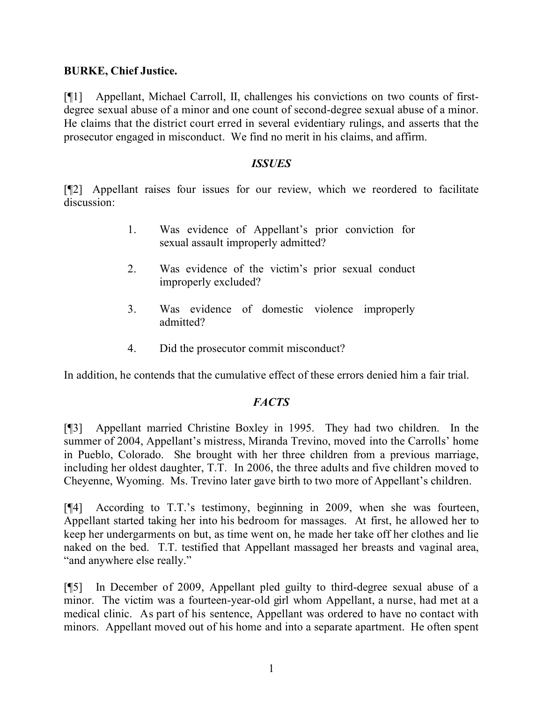#### **BURKE, Chief Justice.**

[¶1] Appellant, Michael Carroll, II, challenges his convictions on two counts of firstdegree sexual abuse of a minor and one count of second-degree sexual abuse of a minor. He claims that the district court erred in several evidentiary rulings, and asserts that the prosecutor engaged in misconduct. We find no merit in his claims, and affirm.

#### *ISSUES*

[¶2] Appellant raises four issues for our review, which we reordered to facilitate discussion:

- 1. Was evidence of Appellant's prior conviction for sexual assault improperly admitted?
- 2. Was evidence of the victim's prior sexual conduct improperly excluded?
- 3. Was evidence of domestic violence improperly admitted?
- 4. Did the prosecutor commit misconduct?

In addition, he contends that the cumulative effect of these errors denied him a fair trial.

### *FACTS*

[¶3] Appellant married Christine Boxley in 1995. They had two children. In the summer of 2004, Appellant's mistress, Miranda Trevino, moved into the Carrolls' home in Pueblo, Colorado. She brought with her three children from a previous marriage, including her oldest daughter, T.T. In 2006, the three adults and five children moved to Cheyenne, Wyoming. Ms. Trevino later gave birth to two more of Appellant's children.

[¶4] According to T.T.'s testimony, beginning in 2009, when she was fourteen, Appellant started taking her into his bedroom for massages. At first, he allowed her to keep her undergarments on but, as time went on, he made her take off her clothes and lie naked on the bed. T.T. testified that Appellant massaged her breasts and vaginal area, "and anywhere else really."

[¶5] In December of 2009, Appellant pled guilty to third-degree sexual abuse of a minor. The victim was a fourteen-year-old girl whom Appellant, a nurse, had met at a medical clinic. As part of his sentence, Appellant was ordered to have no contact with minors. Appellant moved out of his home and into a separate apartment. He often spent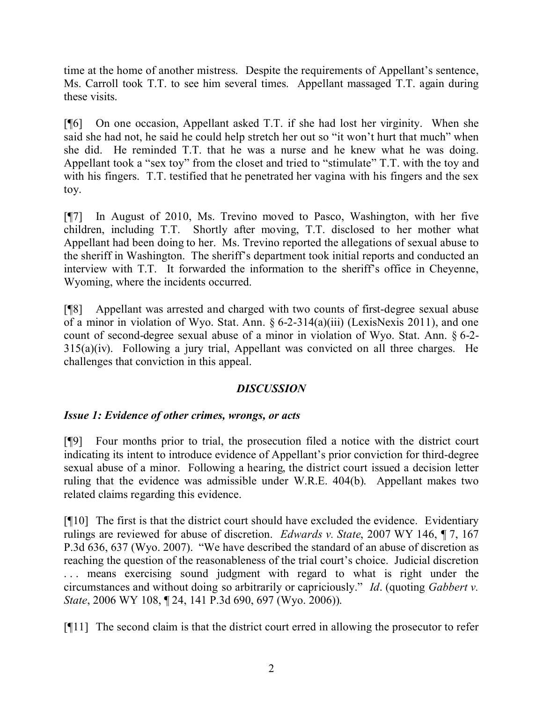time at the home of another mistress. Despite the requirements of Appellant's sentence, Ms. Carroll took T.T. to see him several times. Appellant massaged T.T. again during these visits.

[¶6] On one occasion, Appellant asked T.T. if she had lost her virginity. When she said she had not, he said he could help stretch her out so "it won't hurt that much" when she did. He reminded T.T. that he was a nurse and he knew what he was doing. Appellant took a "sex toy" from the closet and tried to "stimulate" T.T. with the toy and with his fingers. T.T. testified that he penetrated her vagina with his fingers and the sex toy.

[¶7] In August of 2010, Ms. Trevino moved to Pasco, Washington, with her five children, including T.T. Shortly after moving, T.T. disclosed to her mother what Appellant had been doing to her. Ms. Trevino reported the allegations of sexual abuse to the sheriff in Washington. The sheriff's department took initial reports and conducted an interview with T.T. It forwarded the information to the sheriff's office in Cheyenne, Wyoming, where the incidents occurred.

[¶8] Appellant was arrested and charged with two counts of first-degree sexual abuse of a minor in violation of Wyo. Stat. Ann. § 6-2-314(a)(iii) (LexisNexis 2011), and one count of second-degree sexual abuse of a minor in violation of Wyo. Stat. Ann. § 6-2- 315(a)(iv). Following a jury trial, Appellant was convicted on all three charges. He challenges that conviction in this appeal.

### *DISCUSSION*

### *Issue 1: Evidence of other crimes, wrongs, or acts*

[¶9] Four months prior to trial, the prosecution filed a notice with the district court indicating its intent to introduce evidence of Appellant's prior conviction for third-degree sexual abuse of a minor. Following a hearing, the district court issued a decision letter ruling that the evidence was admissible under W.R.E. 404(b). Appellant makes two related claims regarding this evidence.

[¶10] The first is that the district court should have excluded the evidence. Evidentiary rulings are reviewed for abuse of discretion. *Edwards v. State*, 2007 WY 146, ¶ 7, 167 P.3d 636, 637 (Wyo. 2007). "We have described the standard of an abuse of discretion as reaching the question of the reasonableness of the trial court's choice. Judicial discretion ... means exercising sound judgment with regard to what is right under the circumstances and without doing so arbitrarily or capriciously." *Id*. (quoting *Gabbert v. State*, 2006 WY 108, ¶ 24, 141 P.3d 690, 697 (Wyo. 2006)).

[¶11] The second claim is that the district court erred in allowing the prosecutor to refer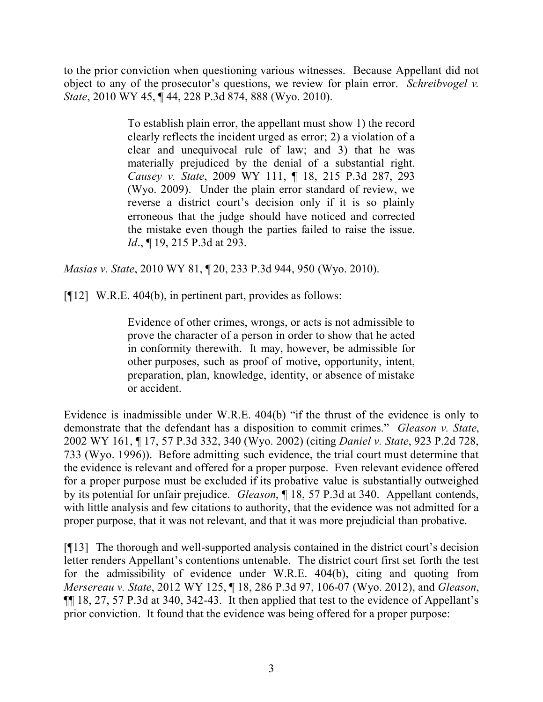to the prior conviction when questioning various witnesses. Because Appellant did not object to any of the prosecutor's questions, we review for plain error. *Schreibvogel v. State*, 2010 WY 45, ¶ 44, 228 P.3d 874, 888 (Wyo. 2010).

> To establish plain error, the appellant must show 1) the record clearly reflects the incident urged as error; 2) a violation of a clear and unequivocal rule of law; and 3) that he was materially prejudiced by the denial of a substantial right. *Causey v. State*, 2009 WY 111, ¶ 18, 215 P.3d 287, 293 (Wyo. 2009). Under the plain error standard of review, we reverse a district court's decision only if it is so plainly erroneous that the judge should have noticed and corrected the mistake even though the parties failed to raise the issue. *Id.*, **[19, 215 P.3d at 293.**

*Masias v. State*, 2010 WY 81, ¶ 20, 233 P.3d 944, 950 (Wyo. 2010).

 $[912]$  W.R.E. 404(b), in pertinent part, provides as follows:

Evidence of other crimes, wrongs, or acts is not admissible to prove the character of a person in order to show that he acted in conformity therewith. It may, however, be admissible for other purposes, such as proof of motive, opportunity, intent, preparation, plan, knowledge, identity, or absence of mistake or accident.

Evidence is inadmissible under W.R.E. 404(b) "if the thrust of the evidence is only to demonstrate that the defendant has a disposition to commit crimes." *Gleason v. State*, 2002 WY 161, ¶ 17, 57 P.3d 332, 340 (Wyo. 2002) (citing *Daniel v. State*, 923 P.2d 728, 733 (Wyo. 1996)). Before admitting such evidence, the trial court must determine that the evidence is relevant and offered for a proper purpose. Even relevant evidence offered for a proper purpose must be excluded if its probative value is substantially outweighed by its potential for unfair prejudice. *Gleason*, ¶ 18, 57 P.3d at 340. Appellant contends, with little analysis and few citations to authority, that the evidence was not admitted for a proper purpose, that it was not relevant, and that it was more prejudicial than probative.

[¶13] The thorough and well-supported analysis contained in the district court's decision letter renders Appellant's contentions untenable. The district court first set forth the test for the admissibility of evidence under W.R.E. 404(b), citing and quoting from *Mersereau v. State*, 2012 WY 125, ¶ 18, 286 P.3d 97, 106-07 (Wyo. 2012), and *Gleason*, ¶¶ 18, 27, 57 P.3d at 340, 342-43. It then applied that test to the evidence of Appellant's prior conviction. It found that the evidence was being offered for a proper purpose: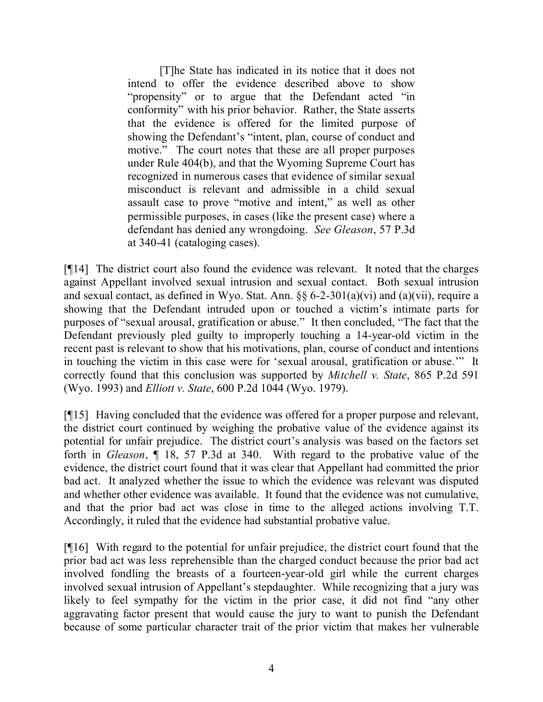[T]he State has indicated in its notice that it does not intend to offer the evidence described above to show "propensity" or to argue that the Defendant acted "in conformity" with his prior behavior. Rather, the State asserts that the evidence is offered for the limited purpose of showing the Defendant's "intent, plan, course of conduct and motive." The court notes that these are all proper purposes under Rule 404(b), and that the Wyoming Supreme Court has recognized in numerous cases that evidence of similar sexual misconduct is relevant and admissible in a child sexual assault case to prove "motive and intent," as well as other permissible purposes, in cases (like the present case) where a defendant has denied any wrongdoing. *See Gleason*, 57 P.3d at 340-41 (cataloging cases).

[¶14] The district court also found the evidence was relevant. It noted that the charges against Appellant involved sexual intrusion and sexual contact. Both sexual intrusion and sexual contact, as defined in Wyo. Stat. Ann. §§ 6-2-301(a)(vi) and (a)(vii), require a showing that the Defendant intruded upon or touched a victim's intimate parts for purposes of "sexual arousal, gratification or abuse." It then concluded, "The fact that the Defendant previously pled guilty to improperly touching a 14-year-old victim in the recent past is relevant to show that his motivations, plan, course of conduct and intentions in touching the victim in this case were for 'sexual arousal, gratification or abuse.'" It correctly found that this conclusion was supported by *Mitchell v. State*, 865 P.2d 591 (Wyo. 1993) and *Elliott v. State*, 600 P.2d 1044 (Wyo. 1979).

[¶15] Having concluded that the evidence was offered for a proper purpose and relevant, the district court continued by weighing the probative value of the evidence against its potential for unfair prejudice. The district court's analysis was based on the factors set forth in *Gleason*, ¶ 18, 57 P.3d at 340. With regard to the probative value of the evidence, the district court found that it was clear that Appellant had committed the prior bad act. It analyzed whether the issue to which the evidence was relevant was disputed and whether other evidence was available. It found that the evidence was not cumulative, and that the prior bad act was close in time to the alleged actions involving T.T. Accordingly, it ruled that the evidence had substantial probative value.

[¶16] With regard to the potential for unfair prejudice, the district court found that the prior bad act was less reprehensible than the charged conduct because the prior bad act involved fondling the breasts of a fourteen-year-old girl while the current charges involved sexual intrusion of Appellant's stepdaughter. While recognizing that a jury was likely to feel sympathy for the victim in the prior case, it did not find "any other aggravating factor present that would cause the jury to want to punish the Defendant because of some particular character trait of the prior victim that makes her vulnerable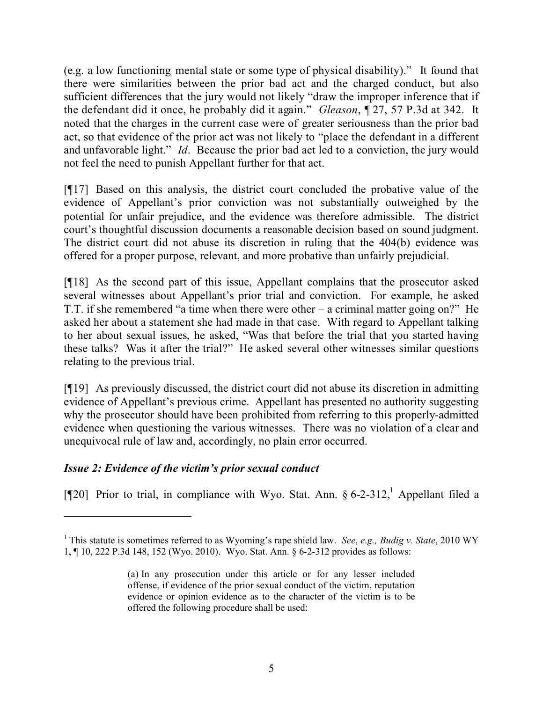(e.g. a low functioning mental state or some type of physical disability)." It found that there were similarities between the prior bad act and the charged conduct, but also sufficient differences that the jury would not likely "draw the improper inference that if the defendant did it once, he probably did it again." *Gleason*, ¶ 27, 57 P.3d at 342. It noted that the charges in the current case were of greater seriousness than the prior bad act, so that evidence of the prior act was not likely to "place the defendant in a different and unfavorable light." *Id*. Because the prior bad act led to a conviction, the jury would not feel the need to punish Appellant further for that act.

[¶17] Based on this analysis, the district court concluded the probative value of the evidence of Appellant's prior conviction was not substantially outweighed by the potential for unfair prejudice, and the evidence was therefore admissible. The district court's thoughtful discussion documents a reasonable decision based on sound judgment. The district court did not abuse its discretion in ruling that the 404(b) evidence was offered for a proper purpose, relevant, and more probative than unfairly prejudicial.

[¶18] As the second part of this issue, Appellant complains that the prosecutor asked several witnesses about Appellant's prior trial and conviction. For example, he asked T.T. if she remembered "a time when there were other – a criminal matter going on?" He asked her about a statement she had made in that case. With regard to Appellant talking to her about sexual issues, he asked, "Was that before the trial that you started having these talks? Was it after the trial?" He asked several other witnesses similar questions relating to the previous trial.

[¶19] As previously discussed, the district court did not abuse its discretion in admitting evidence of Appellant's previous crime. Appellant has presented no authority suggesting why the prosecutor should have been prohibited from referring to this properly-admitted evidence when questioning the various witnesses. There was no violation of a clear and unequivocal rule of law and, accordingly, no plain error occurred.

# *Issue 2: Evidence of the victim's prior sexual conduct*

[ $[$ [20] Prior to trial, in compliance with Wyo. Stat. Ann. § 6-2-312,<sup>1</sup> Appellant filed a

<sup>1</sup> This statute is sometimes referred to as Wyoming's rape shield law. *See*, *e*.*g., Budig v. State*, 2010 WY 1, ¶ 10, 222 P.3d 148, 152 (Wyo. 2010). Wyo. Stat. Ann. § 6-2-312 provides as follows:

<sup>(</sup>a) In any prosecution under this article or for any lesser included offense, if evidence of the prior sexual conduct of the victim, reputation evidence or opinion evidence as to the character of the victim is to be offered the following procedure shall be used: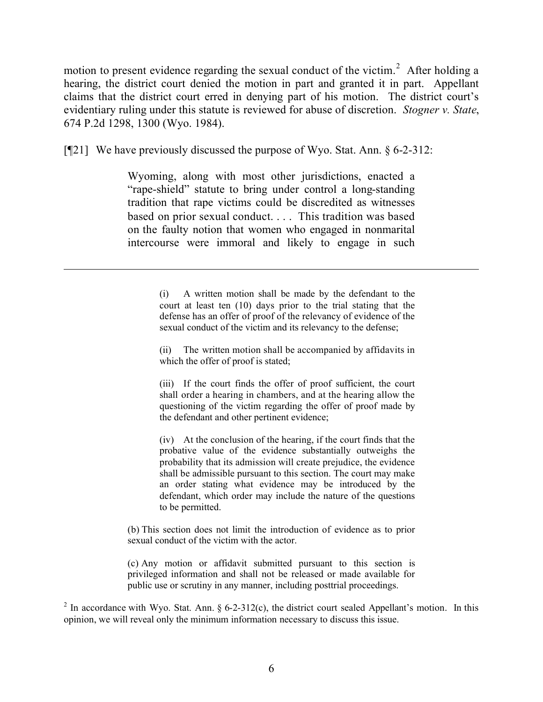motion to present evidence regarding the sexual conduct of the victim.<sup>2</sup> After holding a hearing, the district court denied the motion in part and granted it in part. Appellant claims that the district court erred in denying part of his motion. The district court's evidentiary ruling under this statute is reviewed for abuse of discretion. *Stogner v. State*, 674 P.2d 1298, 1300 (Wyo. 1984).

[¶21] We have previously discussed the purpose of Wyo. Stat. Ann. § 6-2-312:

 $\overline{a}$ 

Wyoming, along with most other jurisdictions, enacted a "rape-shield" statute to bring under control a long-standing tradition that rape victims could be discredited as witnesses based on prior sexual conduct. . . . This tradition was based on the faulty notion that women who engaged in nonmarital intercourse were immoral and likely to engage in such

> (i) A written motion shall be made by the defendant to the court at least ten (10) days prior to the trial stating that the defense has an offer of proof of the relevancy of evidence of the sexual conduct of the victim and its relevancy to the defense;

> (ii) The written motion shall be accompanied by affidavits in which the offer of proof is stated;

> (iii) If the court finds the offer of proof sufficient, the court shall order a hearing in chambers, and at the hearing allow the questioning of the victim regarding the offer of proof made by the defendant and other pertinent evidence;

> (iv) At the conclusion of the hearing, if the court finds that the probative value of the evidence substantially outweighs the probability that its admission will create prejudice, the evidence shall be admissible pursuant to this section. The court may make an order stating what evidence may be introduced by the defendant, which order may include the nature of the questions to be permitted.

(b) This section does not limit the introduction of evidence as to prior sexual conduct of the victim with the actor.

(c) Any motion or affidavit submitted pursuant to this section is privileged information and shall not be released or made available for public use or scrutiny in any manner, including posttrial proceedings.

<sup>2</sup> In accordance with Wyo. Stat. Ann. § 6-2-312(c), the district court sealed Appellant's motion. In this opinion, we will reveal only the minimum information necessary to discuss this issue.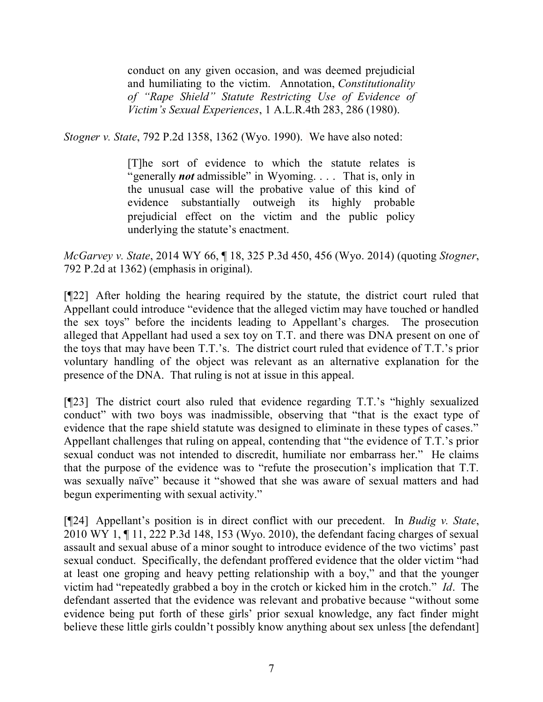conduct on any given occasion, and was deemed prejudicial and humiliating to the victim. Annotation, *Constitutionality of "Rape Shield" Statute Restricting Use of Evidence of Victim's Sexual Experiences*, 1 A.L.R.4th 283, 286 (1980).

*Stogner v. State*, 792 P.2d 1358, 1362 (Wyo. 1990). We have also noted:

[T]he sort of evidence to which the statute relates is "generally *not* admissible" in Wyoming. . . . That is, only in the unusual case will the probative value of this kind of evidence substantially outweigh its highly probable prejudicial effect on the victim and the public policy underlying the statute's enactment.

*McGarvey v. State*, 2014 WY 66, ¶ 18, 325 P.3d 450, 456 (Wyo. 2014) (quoting *Stogner*, 792 P.2d at 1362) (emphasis in original).

[¶22] After holding the hearing required by the statute, the district court ruled that Appellant could introduce "evidence that the alleged victim may have touched or handled the sex toys" before the incidents leading to Appellant's charges. The prosecution alleged that Appellant had used a sex toy on T.T. and there was DNA present on one of the toys that may have been T.T.'s. The district court ruled that evidence of T.T.'s prior voluntary handling of the object was relevant as an alternative explanation for the presence of the DNA. That ruling is not at issue in this appeal.

[¶23] The district court also ruled that evidence regarding T.T.'s "highly sexualized conduct" with two boys was inadmissible, observing that "that is the exact type of evidence that the rape shield statute was designed to eliminate in these types of cases." Appellant challenges that ruling on appeal, contending that "the evidence of T.T.'s prior sexual conduct was not intended to discredit, humiliate nor embarrass her." He claims that the purpose of the evidence was to "refute the prosecution's implication that T.T. was sexually naïve" because it "showed that she was aware of sexual matters and had begun experimenting with sexual activity."

[¶24] Appellant's position is in direct conflict with our precedent. In *Budig v. State*, 2010 WY 1, ¶ 11, 222 P.3d 148, 153 (Wyo. 2010), the defendant facing charges of sexual assault and sexual abuse of a minor sought to introduce evidence of the two victims' past sexual conduct. Specifically, the defendant proffered evidence that the older victim "had at least one groping and heavy petting relationship with a boy," and that the younger victim had "repeatedly grabbed a boy in the crotch or kicked him in the crotch." *Id*. The defendant asserted that the evidence was relevant and probative because "without some evidence being put forth of these girls' prior sexual knowledge, any fact finder might believe these little girls couldn't possibly know anything about sex unless [the defendant]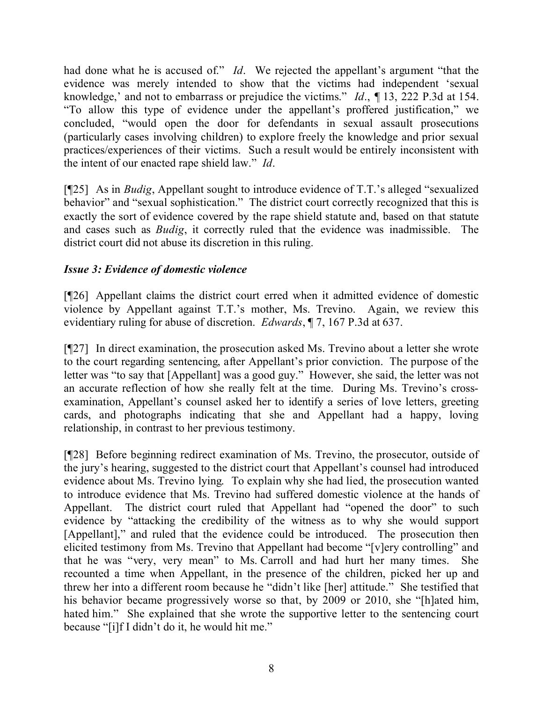had done what he is accused of." *Id*. We rejected the appellant's argument "that the evidence was merely intended to show that the victims had independent 'sexual knowledge,' and not to embarrass or prejudice the victims." *Id*., *¶* 13, 222 P.3d at 154. "To allow this type of evidence under the appellant's proffered justification," we concluded, "would open the door for defendants in sexual assault prosecutions (particularly cases involving children) to explore freely the knowledge and prior sexual practices/experiences of their victims. Such a result would be entirely inconsistent with the intent of our enacted rape shield law." *Id*.

[¶25] As in *Budig*, Appellant sought to introduce evidence of T.T.'s alleged "sexualized behavior" and "sexual sophistication." The district court correctly recognized that this is exactly the sort of evidence covered by the rape shield statute and, based on that statute and cases such as *Budig*, it correctly ruled that the evidence was inadmissible. The district court did not abuse its discretion in this ruling.

## *Issue 3: Evidence of domestic violence*

[¶26] Appellant claims the district court erred when it admitted evidence of domestic violence by Appellant against T.T.'s mother, Ms. Trevino. Again, we review this evidentiary ruling for abuse of discretion. *Edwards*, ¶ 7, 167 P.3d at 637.

[¶27] In direct examination, the prosecution asked Ms. Trevino about a letter she wrote to the court regarding sentencing, after Appellant's prior conviction. The purpose of the letter was "to say that [Appellant] was a good guy." However, she said, the letter was not an accurate reflection of how she really felt at the time. During Ms. Trevino's crossexamination, Appellant's counsel asked her to identify a series of love letters, greeting cards, and photographs indicating that she and Appellant had a happy, loving relationship, in contrast to her previous testimony.

[¶28] Before beginning redirect examination of Ms. Trevino, the prosecutor, outside of the jury's hearing, suggested to the district court that Appellant's counsel had introduced evidence about Ms. Trevino lying. To explain why she had lied, the prosecution wanted to introduce evidence that Ms. Trevino had suffered domestic violence at the hands of Appellant. The district court ruled that Appellant had "opened the door" to such evidence by "attacking the credibility of the witness as to why she would support [Appellant]," and ruled that the evidence could be introduced. The prosecution then elicited testimony from Ms. Trevino that Appellant had become "[v]ery controlling" and that he was "very, very mean" to Ms. Carroll and had hurt her many times. She recounted a time when Appellant, in the presence of the children, picked her up and threw her into a different room because he "didn't like [her] attitude." She testified that his behavior became progressively worse so that, by 2009 or 2010, she "[h]ated him, hated him." She explained that she wrote the supportive letter to the sentencing court because "[i]f I didn't do it, he would hit me."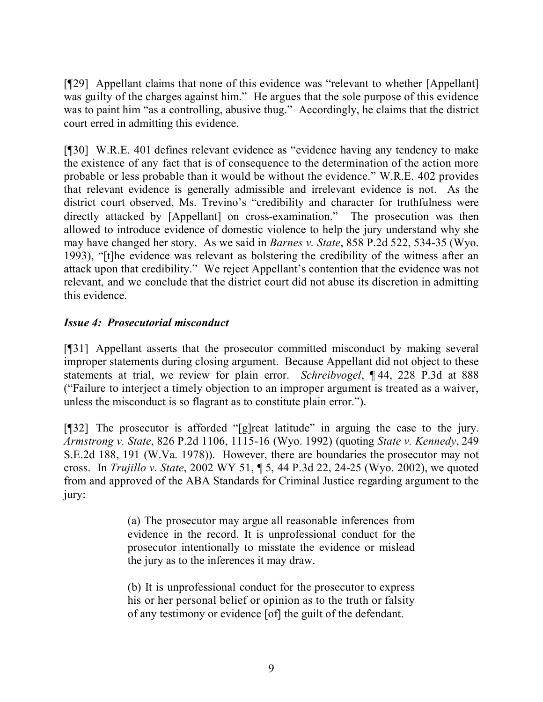[¶29] Appellant claims that none of this evidence was "relevant to whether [Appellant] was guilty of the charges against him." He argues that the sole purpose of this evidence was to paint him "as a controlling, abusive thug." Accordingly, he claims that the district court erred in admitting this evidence.

[¶30] W.R.E. 401 defines relevant evidence as "evidence having any tendency to make the existence of any fact that is of consequence to the determination of the action more probable or less probable than it would be without the evidence." W.R.E. 402 provides that relevant evidence is generally admissible and irrelevant evidence is not. As the district court observed, Ms. Trevino's "credibility and character for truthfulness were directly attacked by [Appellant] on cross-examination." The prosecution was then allowed to introduce evidence of domestic violence to help the jury understand why she may have changed her story. As we said in *Barnes v. State*, 858 P.2d 522, 534-35 (Wyo. 1993), "[t]he evidence was relevant as bolstering the credibility of the witness after an attack upon that credibility." We reject Appellant's contention that the evidence was not relevant, and we conclude that the district court did not abuse its discretion in admitting this evidence.

# *Issue 4: Prosecutorial misconduct*

[¶31] Appellant asserts that the prosecutor committed misconduct by making several improper statements during closing argument. Because Appellant did not object to these statements at trial, we review for plain error. *Schreibvogel*, ¶ 44, 228 P.3d at 888 ("Failure to interject a timely objection to an improper argument is treated as a waiver, unless the misconduct is so flagrant as to constitute plain error.").

[¶32] The prosecutor is afforded "[g]reat latitude" in arguing the case to the jury. *Armstrong v. State*, 826 P.2d 1106, 1115-16 (Wyo. 1992) (quoting *State v. Kennedy*, 249 S.E.2d 188, 191 (W.Va. 1978)). However, there are boundaries the prosecutor may not cross. In *Trujillo v. State*, 2002 WY 51, ¶ 5, 44 P.3d 22, 24-25 (Wyo. 2002), we quoted from and approved of the ABA Standards for Criminal Justice regarding argument to the jury:

> (a) The prosecutor may argue all reasonable inferences from evidence in the record. It is unprofessional conduct for the prosecutor intentionally to misstate the evidence or mislead the jury as to the inferences it may draw.

> (b) It is unprofessional conduct for the prosecutor to express his or her personal belief or opinion as to the truth or falsity of any testimony or evidence [of] the guilt of the defendant.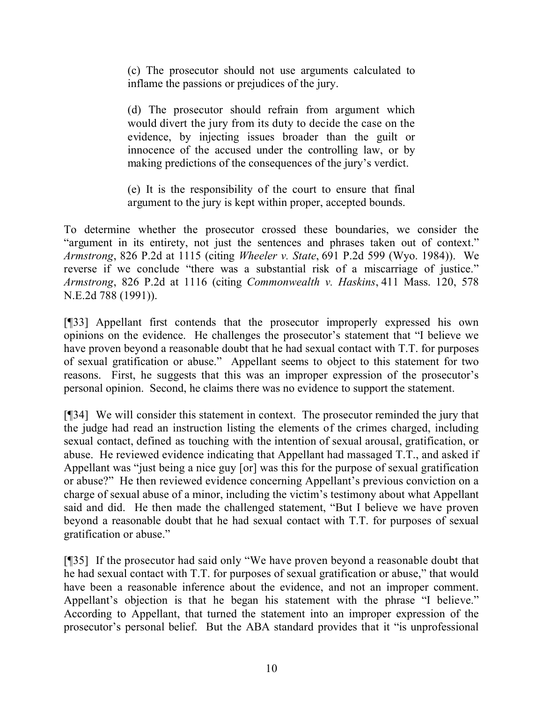(c) The prosecutor should not use arguments calculated to inflame the passions or prejudices of the jury.

(d) The prosecutor should refrain from argument which would divert the jury from its duty to decide the case on the evidence, by injecting issues broader than the guilt or innocence of the accused under the controlling law, or by making predictions of the consequences of the jury's verdict.

(e) It is the responsibility of the court to ensure that final argument to the jury is kept within proper, accepted bounds.

To determine whether the prosecutor crossed these boundaries, we consider the "argument in its entirety, not just the sentences and phrases taken out of context." *Armstrong*, 826 P.2d at 1115 (citing *Wheeler v. State*, 691 P.2d 599 (Wyo. 1984)). We reverse if we conclude "there was a substantial risk of a miscarriage of justice." *Armstrong*, 826 P.2d at 1116 (citing *Commonwealth v. Haskins*, 411 Mass. 120, 578 N.E.2d 788 (1991)).

[¶33] Appellant first contends that the prosecutor improperly expressed his own opinions on the evidence. He challenges the prosecutor's statement that "I believe we have proven beyond a reasonable doubt that he had sexual contact with T.T. for purposes of sexual gratification or abuse." Appellant seems to object to this statement for two reasons. First, he suggests that this was an improper expression of the prosecutor's personal opinion. Second, he claims there was no evidence to support the statement.

[¶34] We will consider this statement in context. The prosecutor reminded the jury that the judge had read an instruction listing the elements of the crimes charged, including sexual contact, defined as touching with the intention of sexual arousal, gratification, or abuse. He reviewed evidence indicating that Appellant had massaged T.T., and asked if Appellant was "just being a nice guy [or] was this for the purpose of sexual gratification or abuse?" He then reviewed evidence concerning Appellant's previous conviction on a charge of sexual abuse of a minor, including the victim's testimony about what Appellant said and did. He then made the challenged statement, "But I believe we have proven beyond a reasonable doubt that he had sexual contact with T.T. for purposes of sexual gratification or abuse."

[¶35] If the prosecutor had said only "We have proven beyond a reasonable doubt that he had sexual contact with T.T. for purposes of sexual gratification or abuse," that would have been a reasonable inference about the evidence, and not an improper comment. Appellant's objection is that he began his statement with the phrase "I believe." According to Appellant, that turned the statement into an improper expression of the prosecutor's personal belief. But the ABA standard provides that it "is unprofessional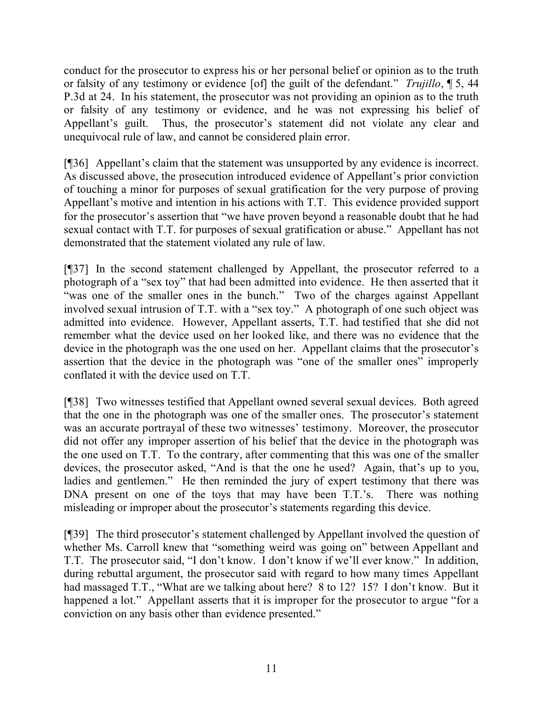conduct for the prosecutor to express his or her personal belief or opinion as to the truth or falsity of any testimony or evidence [of] the guilt of the defendant." *Trujillo*, ¶ 5, 44 P.3d at 24. In his statement, the prosecutor was not providing an opinion as to the truth or falsity of any testimony or evidence, and he was not expressing his belief of Appellant's guilt. Thus, the prosecutor's statement did not violate any clear and unequivocal rule of law, and cannot be considered plain error.

[¶36] Appellant's claim that the statement was unsupported by any evidence is incorrect. As discussed above, the prosecution introduced evidence of Appellant's prior conviction of touching a minor for purposes of sexual gratification for the very purpose of proving Appellant's motive and intention in his actions with T.T. This evidence provided support for the prosecutor's assertion that "we have proven beyond a reasonable doubt that he had sexual contact with T.T. for purposes of sexual gratification or abuse." Appellant has not demonstrated that the statement violated any rule of law.

[¶37] In the second statement challenged by Appellant, the prosecutor referred to a photograph of a "sex toy" that had been admitted into evidence. He then asserted that it "was one of the smaller ones in the bunch." Two of the charges against Appellant involved sexual intrusion of T.T. with a "sex toy." A photograph of one such object was admitted into evidence. However, Appellant asserts, T.T. had testified that she did not remember what the device used on her looked like, and there was no evidence that the device in the photograph was the one used on her. Appellant claims that the prosecutor's assertion that the device in the photograph was "one of the smaller ones" improperly conflated it with the device used on T.T.

[¶38] Two witnesses testified that Appellant owned several sexual devices. Both agreed that the one in the photograph was one of the smaller ones. The prosecutor's statement was an accurate portrayal of these two witnesses' testimony. Moreover, the prosecutor did not offer any improper assertion of his belief that the device in the photograph was the one used on T.T. To the contrary, after commenting that this was one of the smaller devices, the prosecutor asked, "And is that the one he used? Again, that's up to you, ladies and gentlemen." He then reminded the jury of expert testimony that there was DNA present on one of the toys that may have been T.T.'s. There was nothing misleading or improper about the prosecutor's statements regarding this device.

[¶39] The third prosecutor's statement challenged by Appellant involved the question of whether Ms. Carroll knew that "something weird was going on" between Appellant and T.T. The prosecutor said, "I don't know. I don't know if we'll ever know." In addition, during rebuttal argument, the prosecutor said with regard to how many times Appellant had massaged T.T., "What are we talking about here? 8 to 12? 15? I don't know. But it happened a lot." Appellant asserts that it is improper for the prosecutor to argue "for a conviction on any basis other than evidence presented."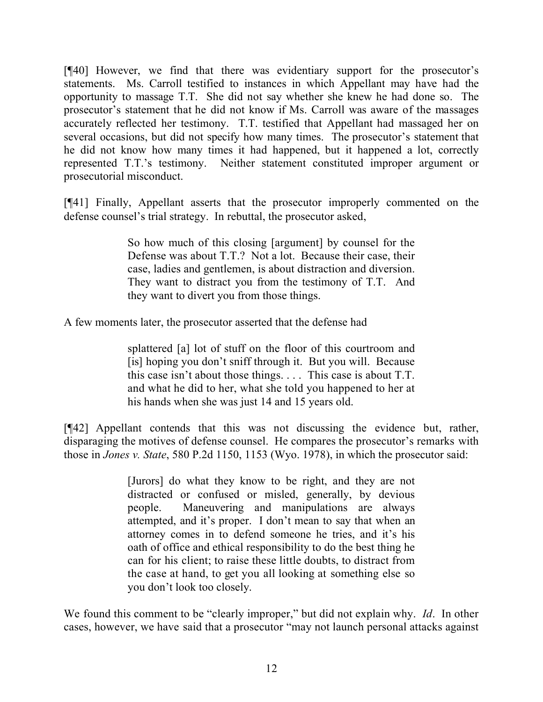[¶40] However, we find that there was evidentiary support for the prosecutor's statements. Ms. Carroll testified to instances in which Appellant may have had the opportunity to massage T.T. She did not say whether she knew he had done so. The prosecutor's statement that he did not know if Ms. Carroll was aware of the massages accurately reflected her testimony. T.T. testified that Appellant had massaged her on several occasions, but did not specify how many times. The prosecutor's statement that he did not know how many times it had happened, but it happened a lot, correctly represented T.T.'s testimony. Neither statement constituted improper argument or prosecutorial misconduct.

[¶41] Finally, Appellant asserts that the prosecutor improperly commented on the defense counsel's trial strategy. In rebuttal, the prosecutor asked,

> So how much of this closing [argument] by counsel for the Defense was about T.T.? Not a lot. Because their case, their case, ladies and gentlemen, is about distraction and diversion. They want to distract you from the testimony of T.T. And they want to divert you from those things.

A few moments later, the prosecutor asserted that the defense had

splattered [a] lot of stuff on the floor of this courtroom and [is] hoping you don't sniff through it. But you will. Because this case isn't about those things. . . . This case is about T.T. and what he did to her, what she told you happened to her at his hands when she was just 14 and 15 years old.

[¶42] Appellant contends that this was not discussing the evidence but, rather, disparaging the motives of defense counsel. He compares the prosecutor's remarks with those in *Jones v. State*, 580 P.2d 1150, 1153 (Wyo. 1978), in which the prosecutor said:

> [Jurors] do what they know to be right, and they are not distracted or confused or misled, generally, by devious people. Maneuvering and manipulations are always attempted, and it's proper. I don't mean to say that when an attorney comes in to defend someone he tries, and it's his oath of office and ethical responsibility to do the best thing he can for his client; to raise these little doubts, to distract from the case at hand, to get you all looking at something else so you don't look too closely.

We found this comment to be "clearly improper," but did not explain why. *Id*. In other cases, however, we have said that a prosecutor "may not launch personal attacks against